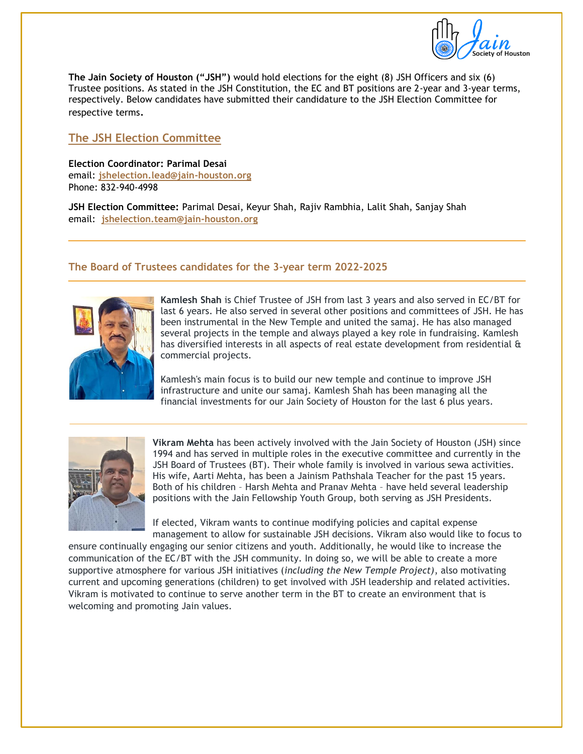

**The Jain Society of Houston ("JSH")** would hold elections for the eight (8) JSH Officers and six (6) Trustee positions. As stated in the JSH Constitution, the EC and BT positions are 2-year and 3-year terms, respectively. Below candidates have submitted their candidature to the JSH Election Committee for respective terms.

# **The JSH Election Committee**

**Election Coordinator: Parimal Desai** email: **[jshelection.lead@jain-houston.org](mailto:jshelection.lead@jain-houston.org)** Phone: 832-940-4998

**JSH Election Committee:** Parimal Desai, Keyur Shah, Rajiv Rambhia, Lalit Shah, Sanjay Shah email: **[jshelection.team@jain-houston.org](mailto:jshelection.team@jain-houston.org)**

## **The Board of Trustees candidates for the 3-year term 2022-2025**



**Kamlesh Shah** is Chief Trustee of JSH from last 3 years and also served in EC/BT for last 6 years. He also served in several other positions and committees of JSH. He has been instrumental in the New Temple and united the samaj. He has also managed several projects in the temple and always played a key role in fundraising. Kamlesh has diversified interests in all aspects of real estate development from residential & commercial projects.

Kamlesh's main focus is to build our new temple and continue to improve JSH infrastructure and unite our samaj. Kamlesh Shah has been managing all the financial investments for our Jain Society of Houston for the last 6 plus years.



**Vikram Mehta** has been actively involved with the Jain Society of Houston (JSH) since 1994 and has served in multiple roles in the executive committee and currently in the JSH Board of Trustees (BT). Their whole family is involved in various sewa activities. His wife, Aarti Mehta, has been a Jainism Pathshala Teacher for the past 15 years. Both of his children – Harsh Mehta and Pranav Mehta – have held several leadership positions with the Jain Fellowship Youth Group, both serving as JSH Presidents.

If elected, Vikram wants to continue modifying policies and capital expense management to allow for sustainable JSH decisions. Vikram also would like to focus to

ensure continually engaging our senior citizens and youth. Additionally, he would like to increase the communication of the EC/BT with the JSH community. In doing so, we will be able to create a more supportive atmosphere for various JSH initiatives (*including the New Temple Project)*, also motivating current and upcoming generations (children) to get involved with JSH leadership and related activities. Vikram is motivated to continue to serve another term in the BT to create an environment that is welcoming and promoting Jain values.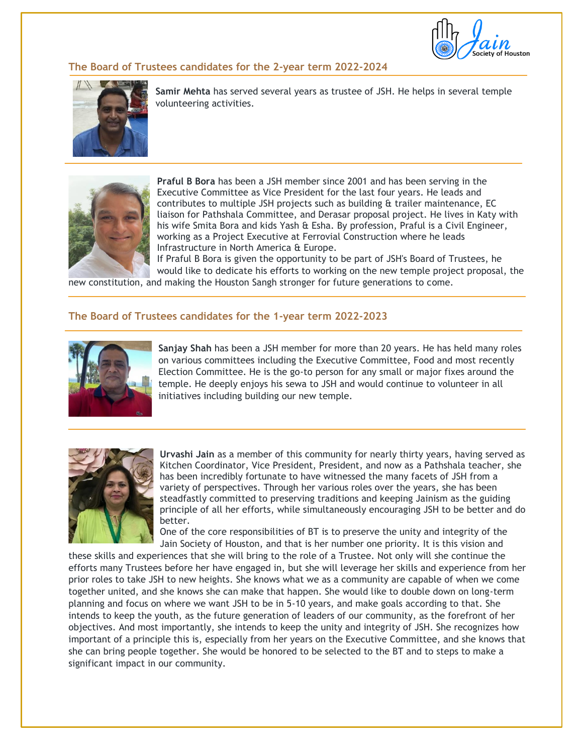

#### **The Board of Trustees candidates for the 2-year term 2022-2024**



**Samir Mehta** has served several years as trustee of JSH. He helps in several temple volunteering activities.



**Praful B Bora** has been a JSH member since 2001 and has been serving in the Executive Committee as Vice President for the last four years. He leads and contributes to multiple JSH projects such as building & trailer maintenance, EC liaison for Pathshala Committee, and Derasar proposal project. He lives in Katy with his wife Smita Bora and kids Yash & Esha. By profession, Praful is a Civil Engineer, working as a Project Executive at Ferrovial Construction where he leads Infrastructure in North America & Europe.

If Praful B Bora is given the opportunity to be part of JSH's Board of Trustees, he would like to dedicate his efforts to working on the new temple project proposal, the

new constitution, and making the Houston Sangh stronger for future generations to come.

#### **The Board of Trustees candidates for the 1-year term 2022-2023**



**Sanjay Shah** has been a JSH member for more than 20 years. He has held many roles on various committees including the Executive Committee, Food and most recently Election Committee. He is the go-to person for any small or major fixes around the temple. He deeply enjoys his sewa to JSH and would continue to volunteer in all initiatives including building our new temple.



**Urvashi Jain** as a member of this community for nearly thirty years, having served as Kitchen Coordinator, Vice President, President, and now as a Pathshala teacher, she has been incredibly fortunate to have witnessed the many facets of JSH from a variety of perspectives. Through her various roles over the years, she has been steadfastly committed to preserving traditions and keeping Jainism as the guiding principle of all her efforts, while simultaneously encouraging JSH to be better and do better.

One of the core responsibilities of BT is to preserve the unity and integrity of the Jain Society of Houston, and that is her number one priority. It is this vision and

these skills and experiences that she will bring to the role of a Trustee. Not only will she continue the efforts many Trustees before her have engaged in, but she will leverage her skills and experience from her prior roles to take JSH to new heights. She knows what we as a community are capable of when we come together united, and she knows she can make that happen. She would like to double down on long-term planning and focus on where we want JSH to be in 5-10 years, and make goals according to that. She intends to keep the youth, as the future generation of leaders of our community, as the forefront of her objectives. And most importantly, she intends to keep the unity and integrity of JSH. She recognizes how important of a principle this is, especially from her years on the Executive Committee, and she knows that she can bring people together. She would be honored to be selected to the BT and to steps to make a significant impact in our community.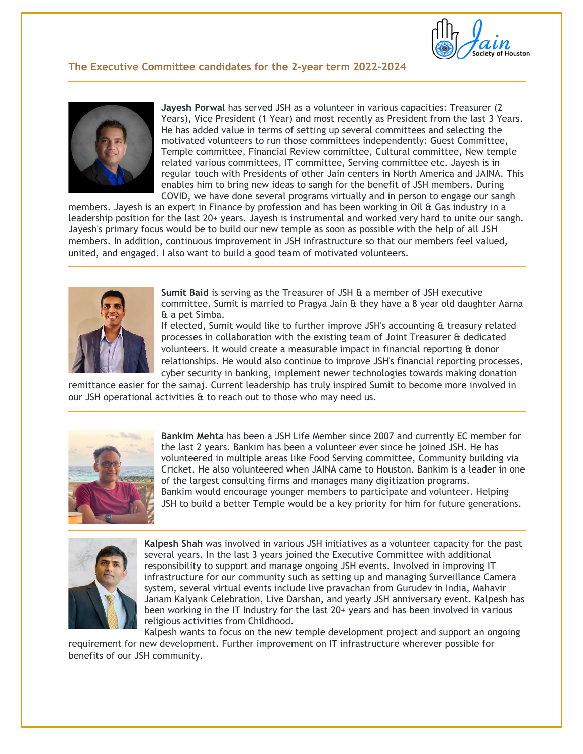

### **The Executive Committee candidates for the 2-year term 2022-2024**



**Jayesh Porwal** has served JSH as a volunteer in various capacities: Treasurer (2 Years), Vice President (1 Year) and most recently as President from the last 3 Years. He has added value in terms of setting up several committees and selecting the motivated volunteers to run those committees independently: Guest Committee, Temple committee, Financial Review committee, Cultural committee, New temple related various committees, IT committee, Serving committee etc. Jayesh is in regular touch with Presidents of other Jain centers in North America and JAINA. This enables him to bring new ideas to sangh for the benefit of JSH members. During COVID, we have done several programs virtually and in person to engage our sangh

members. Jayesh is an expert in Finance by profession and has been working in Oil & Gas industry in a leadership position for the last 20+ years. Jayesh is instrumental and worked very hard to unite our sangh. Jayesh's primary focus would be to build our new temple as soon as possible with the help of all JSH members. In addition, continuous improvement in JSH infrastructure so that our members feel valued, united, and engaged. I also want to build a good team of motivated volunteers.



**Sumit Baid** is serving as the Treasurer of JSH & a member of JSH executive committee. Sumit is married to Pragya Jain & they have a 8 year old daughter Aarna & a pet Simba.

If elected, Sumit would like to further improve JSH's accounting & treasury related processes in collaboration with the existing team of Joint Treasurer & dedicated volunteers. It would create a measurable impact in financial reporting & donor relationships. He would also continue to improve JSH's financial reporting processes, cyber security in banking, implement newer technologies towards making donation

remittance easier for the samaj. Current leadership has truly inspired Sumit to become more involved in our JSH operational activities & to reach out to those who may need us.



**Bankim Mehta** has been a JSH Life Member since 2007 and currently EC member for the last 2 years. Bankim has been a volunteer ever since he joined JSH. He has volunteered in multiple areas like Food Serving committee, Community building via Cricket. He also volunteered when JAINA came to Houston. Bankim is a leader in one of the largest consulting firms and manages many digitization programs. Bankim would encourage younger members to participate and volunteer. Helping JSH to build a better Temple would be a key priority for him for future generations.



**Kalpesh Shah** was involved in various JSH initiatives as a volunteer capacity for the past several years. In the last 3 years joined the Executive Committee with additional responsibility to support and manage ongoing JSH events. Involved in improving IT infrastructure for our community such as setting up and managing Surveillance Camera system, several virtual events include live pravachan from Gurudev in India, Mahavir Janam Kalyank Celebration, Live Darshan, and yearly JSH anniversary event. Kalpesh has been working in the IT Industry for the last 20+ years and has been involved in various religious activities from Childhood.

Kalpesh wants to focus on the new temple development project and support an ongoing requirement for new development. Further improvement on IT infrastructure wherever possible for benefits of our JSH community.